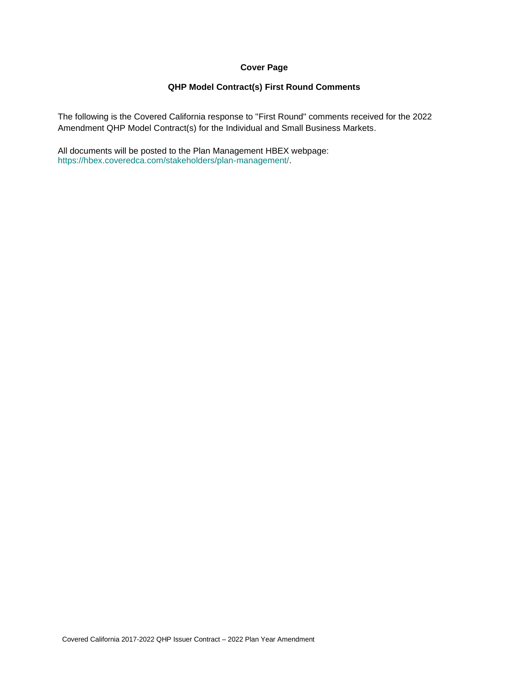## **Cover Page**

## **QHP Model Contract(s) First Round Comments**

The following is the Covered California response to "First Round" comments received for the 2022 Amendment QHP Model Contract(s) for the Individual and Small Business Markets.

All documents will be posted to the Plan Management HBEX webpage: https://hbex.coveredca.com/stakeholders/plan-management/.